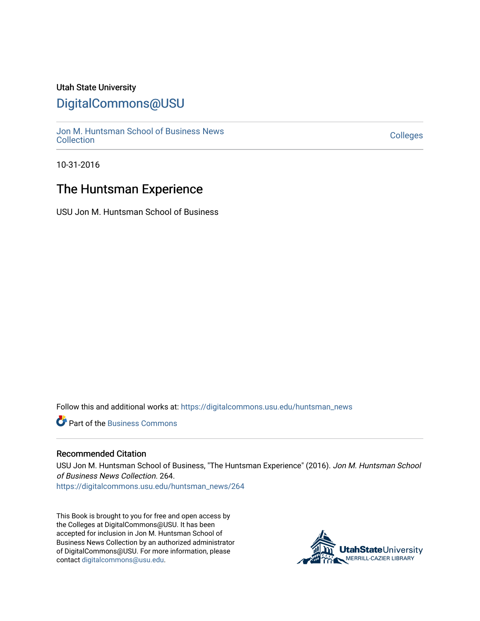#### Utah State University

## [DigitalCommons@USU](https://digitalcommons.usu.edu/)

[Jon M. Huntsman School of Business News](https://digitalcommons.usu.edu/huntsman_news)  Soft M. Huntsman School of Business News<br>[Collection](https://digitalcommons.usu.edu/huntsman_news) Colleges

10-31-2016

### The Huntsman Experience

USU Jon M. Huntsman School of Business

Follow this and additional works at: [https://digitalcommons.usu.edu/huntsman\\_news](https://digitalcommons.usu.edu/huntsman_news?utm_source=digitalcommons.usu.edu%2Fhuntsman_news%2F264&utm_medium=PDF&utm_campaign=PDFCoverPages) 

**C** Part of the [Business Commons](http://network.bepress.com/hgg/discipline/622?utm_source=digitalcommons.usu.edu%2Fhuntsman_news%2F264&utm_medium=PDF&utm_campaign=PDFCoverPages)

#### Recommended Citation

USU Jon M. Huntsman School of Business, "The Huntsman Experience" (2016). Jon M. Huntsman School of Business News Collection. 264.

[https://digitalcommons.usu.edu/huntsman\\_news/264](https://digitalcommons.usu.edu/huntsman_news/264?utm_source=digitalcommons.usu.edu%2Fhuntsman_news%2F264&utm_medium=PDF&utm_campaign=PDFCoverPages) 

This Book is brought to you for free and open access by the Colleges at DigitalCommons@USU. It has been accepted for inclusion in Jon M. Huntsman School of Business News Collection by an authorized administrator of DigitalCommons@USU. For more information, please contact [digitalcommons@usu.edu](mailto:digitalcommons@usu.edu).